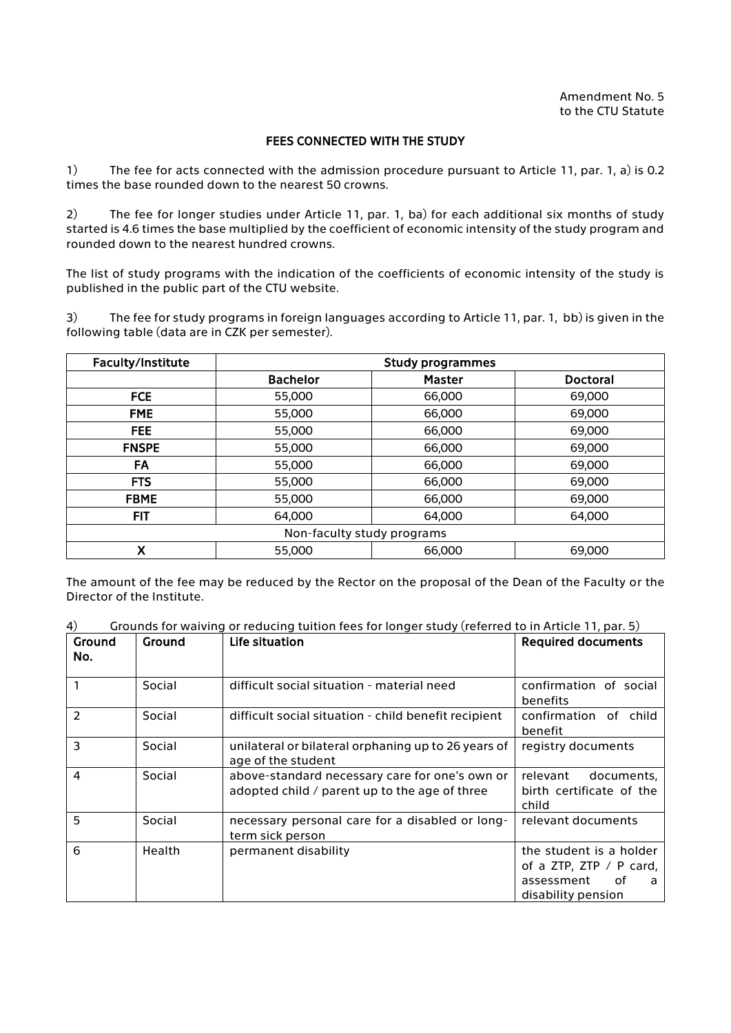## FEES CONNECTED WITH THE STUDY

1) The fee for acts connected with the admission procedure pursuant to Article 11, par. 1, a) is 0.2 times the base rounded down to the nearest 50 crowns.

2) The fee for longer studies under Article 11, par. 1, ba) for each additional six months of study started is 4.6 times the base multiplied by the coefficient of economic intensity of the study program and rounded down to the nearest hundred crowns.

The list of study programs with the indication of the coefficients of economic intensity of the study is published in the public part of the CTU website.

3) The fee for study programs in foreign languages according to Article 11, par. 1, bb) is given in the following table (data are in CZK per semester).

| Faculty/Institute          | <b>Study programmes</b> |               |                 |  |
|----------------------------|-------------------------|---------------|-----------------|--|
|                            | <b>Bachelor</b>         | <b>Master</b> | <b>Doctoral</b> |  |
| <b>FCE</b>                 | 55,000                  | 66,000        | 69,000          |  |
| <b>FME</b>                 | 55,000                  | 66,000        | 69,000          |  |
| FEE.                       | 55,000                  | 66,000        | 69,000          |  |
| <b>FNSPE</b>               | 55,000                  | 66,000        | 69,000          |  |
| FA                         | 55,000                  | 66,000        | 69,000          |  |
| <b>FTS</b>                 | 55,000                  | 66,000        | 69,000          |  |
| <b>FBME</b>                | 55,000                  | 66,000        | 69,000          |  |
| <b>FIT</b>                 | 64,000                  | 64,000        | 64,000          |  |
| Non-faculty study programs |                         |               |                 |  |
| X                          | 55,000                  | 66,000        | 69,000          |  |

The amount of the fee may be reduced by the Rector on the proposal of the Dean of the Faculty or the Director of the Institute.

4) Grounds for waiving or reducing tuition fees for longer study (referred to in Article 11, par. 5)

| Ground<br>No.            | Ground | Life situation                                                                                  | <b>Required documents</b>                                                                         |
|--------------------------|--------|-------------------------------------------------------------------------------------------------|---------------------------------------------------------------------------------------------------|
|                          | Social | difficult social situation - material need                                                      | confirmation of social<br>benefits                                                                |
| $\overline{\phantom{a}}$ | Social | difficult social situation - child benefit recipient                                            | confirmation of child<br>benefit                                                                  |
| 3                        | Social | unilateral or bilateral orphaning up to 26 years of<br>age of the student                       | registry documents                                                                                |
| 4                        | Social | above-standard necessary care for one's own or<br>adopted child / parent up to the age of three | relevant<br>documents,<br>birth certificate of the<br>child                                       |
| 5                        | Social | necessary personal care for a disabled or long-<br>term sick person                             | relevant documents                                                                                |
| 6                        | Health | permanent disability                                                                            | the student is a holder<br>of a ZTP, ZTP / P card,<br>assessment<br>οf<br>a<br>disability pension |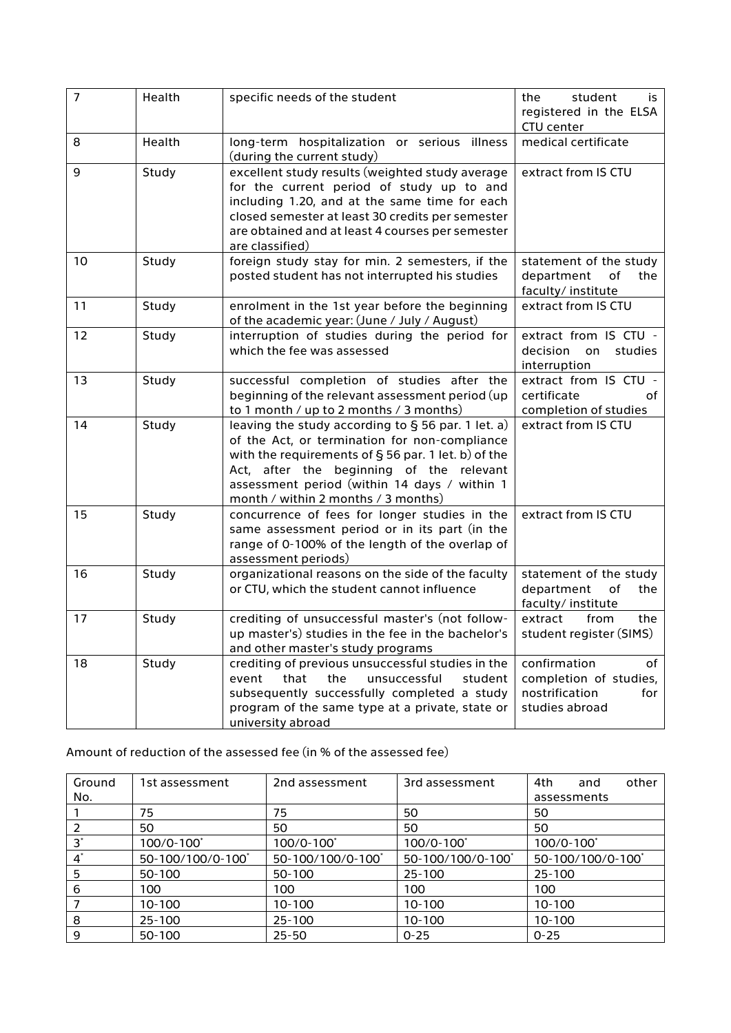| $\overline{7}$ | Health | specific needs of the student                                                                                                                                                                                                                                                                       | student<br>the<br>is<br>registered in the ELSA<br>CTU center                            |
|----------------|--------|-----------------------------------------------------------------------------------------------------------------------------------------------------------------------------------------------------------------------------------------------------------------------------------------------------|-----------------------------------------------------------------------------------------|
| 8              | Health | long-term hospitalization or serious illness<br>(during the current study)                                                                                                                                                                                                                          | medical certificate                                                                     |
| 9              | Study  | excellent study results (weighted study average<br>for the current period of study up to and<br>including 1.20, and at the same time for each<br>closed semester at least 30 credits per semester<br>are obtained and at least 4 courses per semester<br>are classified)                            | extract from IS CTU                                                                     |
| 10             | Study  | foreign study stay for min. 2 semesters, if the<br>posted student has not interrupted his studies                                                                                                                                                                                                   | statement of the study<br>department<br>of<br>the<br>faculty/institute                  |
| 11             | Study  | enrolment in the 1st year before the beginning<br>of the academic year: (June / July / August)                                                                                                                                                                                                      | extract from IS CTU                                                                     |
| 12             | Study  | interruption of studies during the period for<br>which the fee was assessed                                                                                                                                                                                                                         | extract from IS CTU -<br>decision<br>studies<br>on<br>interruption                      |
| 13             | Study  | successful completion of studies after the<br>beginning of the relevant assessment period (up<br>to 1 month / up to 2 months / 3 months)                                                                                                                                                            | extract from IS CTU -<br>certificate<br>of<br>completion of studies                     |
| 14             | Study  | leaving the study according to $\S$ 56 par. 1 let. a)<br>of the Act, or termination for non-compliance<br>with the requirements of $\S$ 56 par. 1 let. b) of the<br>Act, after the beginning of the relevant<br>assessment period (within 14 days / within 1<br>month / within 2 months / 3 months) | extract from IS CTU                                                                     |
| 15             | Study  | concurrence of fees for longer studies in the<br>same assessment period or in its part (in the<br>range of 0-100% of the length of the overlap of<br>assessment periods)                                                                                                                            | extract from IS CTU                                                                     |
| 16             | Study  | organizational reasons on the side of the faculty<br>or CTU, which the student cannot influence                                                                                                                                                                                                     | statement of the study<br>department<br>of<br>the<br>faculty/institute                  |
| 17             | Study  | crediting of unsuccessful master's (not follow-<br>up master's) studies in the fee in the bachelor's<br>and other master's study programs                                                                                                                                                           | extract<br>from<br>the<br>student register (SIMS)                                       |
| 18             | Study  | crediting of previous unsuccessful studies in the<br>that<br>the<br>event<br>unsuccessful<br>student<br>subsequently successfully completed a study<br>program of the same type at a private, state or<br>university abroad                                                                         | confirmation<br>of<br>completion of studies,<br>nostrification<br>for<br>studies abroad |

Amount of reduction of the assessed fee (in % of the assessed fee)

| Ground<br>No. | 1st assessment   | 2nd assessment   | 3rd assessment       | other<br>4th<br>and<br>assessments |
|---------------|------------------|------------------|----------------------|------------------------------------|
|               | 75               | 75               | 50                   | 50                                 |
|               | 50               | 50               | 50                   | 50                                 |
| $3^*$         | 100/0-100        | 100/0-100        | 100/0-100 $^{\circ}$ | $100/0 - 100^*$                    |
| $4^*$         | 50-100/100/0-100 | 50-100/100/0-100 | 50-100/100/0-100     | 50-100/100/0-100                   |
| 5             | 50-100           | 50-100           | 25-100               | $25 - 100$                         |
| 6             | 100              | 100              | 100                  | 100                                |
|               | $10-100$         | 10-100           | 10-100               | 10-100                             |
| 8             | 25-100           | 25-100           | 10-100               | 10-100                             |
| 9             | 50-100           | $25 - 50$        | $0 - 25$             | $0 - 25$                           |